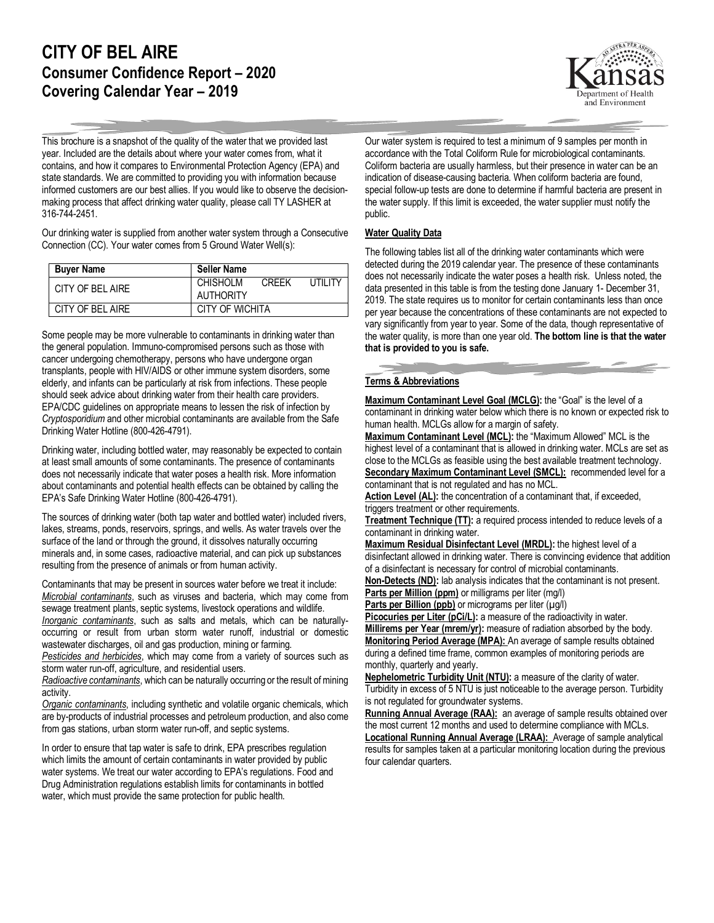## **CITY OF BEL AIRE Consumer Confidence Report – 2020 Covering Calendar Year – 2019**



This brochure is a snapshot of the quality of the water that we provided last year. Included are the details about where your water comes from, what it contains, and how it compares to Environmental Protection Agency (EPA) and state standards. We are committed to providing you with information because informed customers are our best allies. If you would like to observe the decisionmaking process that affect drinking water quality, please call TY LASHER at 316-744-2451.

Our drinking water is supplied from another water system through a Consecutive Connection (CC). Your water comes from 5 Ground Water Well(s):

| <b>Buver Name</b> | <b>Seller Name</b>                         |
|-------------------|--------------------------------------------|
| CITY OF BEL AIRE  | <b>CHISHOLM</b><br>UTILITY<br><b>CREEK</b> |
|                   | AUTHORITY                                  |
| CITY OF BEL AIRE  | CITY OF WICHITA                            |

Some people may be more vulnerable to contaminants in drinking water than the general population. Immuno-compromised persons such as those with cancer undergoing chemotherapy, persons who have undergone organ transplants, people with HIV/AIDS or other immune system disorders, some elderly, and infants can be particularly at risk from infections. These people should seek advice about drinking water from their health care providers. EPA/CDC guidelines on appropriate means to lessen the risk of infection by *Cryptosporidium* and other microbial contaminants are available from the Safe Drinking Water Hotline (800-426-4791).

Drinking water, including bottled water, may reasonably be expected to contain at least small amounts of some contaminants. The presence of contaminants does not necessarily indicate that water poses a health risk. More information about contaminants and potential health effects can be obtained by calling the EPA's Safe Drinking Water Hotline (800-426-4791).

The sources of drinking water (both tap water and bottled water) included rivers, lakes, streams, ponds, reservoirs, springs, and wells. As water travels over the surface of the land or through the ground, it dissolves naturally occurring minerals and, in some cases, radioactive material, and can pick up substances resulting from the presence of animals or from human activity.

Contaminants that may be present in sources water before we treat it include: *Microbial contaminants*, such as viruses and bacteria, which may come from sewage treatment plants, septic systems, livestock operations and wildlife. *Inorganic contaminants*, such as salts and metals, which can be naturallyoccurring or result from urban storm water runoff, industrial or domestic

wastewater discharges, oil and gas production, mining or farming.

*Pesticides and herbicides*, which may come from a variety of sources such as storm water run-off, agriculture, and residential users.

*Radioactive contaminants*, which can be naturally occurring or the result of mining activity.

*Organic contaminants*, including synthetic and volatile organic chemicals, which are by-products of industrial processes and petroleum production, and also come from gas stations, urban storm water run-off, and septic systems.

In order to ensure that tap water is safe to drink, EPA prescribes regulation which limits the amount of certain contaminants in water provided by public water systems. We treat our water according to EPA's regulations. Food and Drug Administration regulations establish limits for contaminants in bottled water, which must provide the same protection for public health.

Our water system is required to test a minimum of 9 samples per month in accordance with the Total Coliform Rule for microbiological contaminants. Coliform bacteria are usually harmless, but their presence in water can be an indication of disease-causing bacteria. When coliform bacteria are found, special follow-up tests are done to determine if harmful bacteria are present in the water supply. If this limit is exceeded, the water supplier must notify the public.

## **Water Quality Data**

The following tables list all of the drinking water contaminants which were detected during the 2019 calendar year. The presence of these contaminants does not necessarily indicate the water poses a health risk. Unless noted, the data presented in this table is from the testing done January 1- December 31, 2019. The state requires us to monitor for certain contaminants less than once per year because the concentrations of these contaminants are not expected to vary significantly from year to year. Some of the data, though representative of the water quality, is more than one year old. **The bottom line is that the water that is provided to you is safe.**

## **Terms & Abbreviations**

**Maximum Contaminant Level Goal (MCLG):** the "Goal" is the level of a contaminant in drinking water below which there is no known or expected risk to human health. MCLGs allow for a margin of safety.

**Maximum Contaminant Level (MCL):** the "Maximum Allowed" MCL is the highest level of a contaminant that is allowed in drinking water. MCLs are set as close to the MCLGs as feasible using the best available treatment technology. **Secondary Maximum Contaminant Level (SMCL):** recommended level for a contaminant that is not regulated and has no MCL.

Action Level (AL): the concentration of a contaminant that, if exceeded, triggers treatment or other requirements.

**Treatment Technique (TT):** a required process intended to reduce levels of a contaminant in drinking water.

**Maximum Residual Disinfectant Level (MRDL):** the highest level of a disinfectant allowed in drinking water. There is convincing evidence that addition of a disinfectant is necessary for control of microbial contaminants.

**Non-Detects (ND):** lab analysis indicates that the contaminant is not present. **Parts per Million (ppm)** or milligrams per liter (mg/l)

**Parts per Billion (ppb)** or micrograms per liter (µg/l)

Picocuries per Liter (pCi/L): a measure of the radioactivity in water.

**Millirems per Year (mrem/yr):** measure of radiation absorbed by the body. **Monitoring Period Average (MPA):** An average of sample results obtained during a defined time frame, common examples of monitoring periods are monthly, quarterly and yearly.

**Nephelometric Turbidity Unit (NTU):** a measure of the clarity of water. Turbidity in excess of 5 NTU is just noticeable to the average person. Turbidity is not regulated for groundwater systems.

**Running Annual Average (RAA):** an average of sample results obtained over the most current 12 months and used to determine compliance with MCLs. **Locational Running Annual Average (LRAA):** Average of sample analytical results for samples taken at a particular monitoring location during the previous four calendar quarters.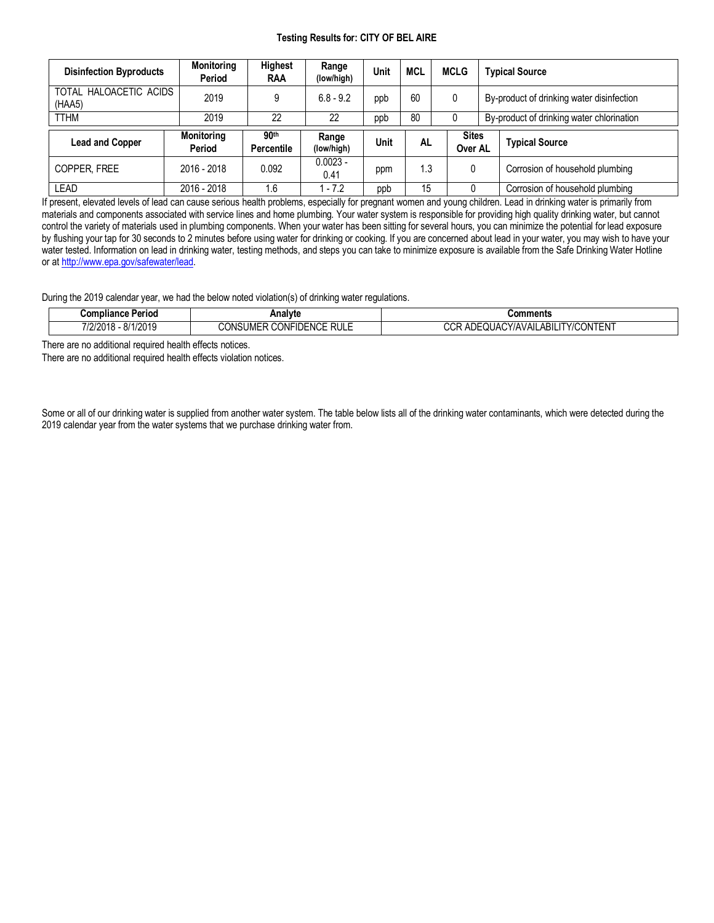## **Testing Results for: CITY OF BEL AIRE**

| <b>Disinfection Byproducts</b>   | <b>Monitoring</b><br>Period | <b>Highest</b><br>RAA          | Range<br>(low/high) | Unit | <b>MCL</b> | <b>MCLG</b>             |  | <b>Typical Source</b>                     |  |  |
|----------------------------------|-----------------------------|--------------------------------|---------------------|------|------------|-------------------------|--|-------------------------------------------|--|--|
| TOTAL HALOACETIC ACIDS<br>(HAA5) | 2019                        |                                | $6.8 - 9.2$         | ppb  | 60         | 0                       |  | By-product of drinking water disinfection |  |  |
| <b>TTHM</b>                      | 2019                        | 22                             | 22                  | ppb  | 80         |                         |  | By-product of drinking water chlorination |  |  |
|                                  |                             |                                |                     |      |            | <b>Sites</b><br>Over AL |  |                                           |  |  |
| <b>Lead and Copper</b>           | <b>Monitoring</b><br>Period | 90 <sup>th</sup><br>Percentile | Range<br>(low/high) | Unit | <b>AL</b>  |                         |  | <b>Typical Source</b>                     |  |  |
| COPPER, FREE                     | 2016 - 2018                 | 0.092                          | $0.0023 -$<br>0.41  | ppm  | 1.3        | 0                       |  | Corrosion of household plumbing           |  |  |

If present, elevated levels of lead can cause serious health problems, especially for pregnant women and young children. Lead in drinking water is primarily from materials and components associated with service lines and home plumbing. Your water system is responsible for providing high quality drinking water, but cannot control the variety of materials used in plumbing components. When your water has been sitting for several hours, you can minimize the potential for lead exposure by flushing your tap for 30 seconds to 2 minutes before using water for drinking or cooking. If you are concerned about lead in your water, you may wish to have your water tested. Information on lead in drinking water, testing methods, and steps you can take to minimize exposure is available from the Safe Drinking Water Hotline or at [http://www.epa.gov/safewater/lead.](http://www.epa.gov/safewater/lead)

During the 2019 calendar year, we had the below noted violation(s) of drinking water regulations.

| Compliance<br>Perioa                                     | Analvte                                                   | Comments                                                   |
|----------------------------------------------------------|-----------------------------------------------------------|------------------------------------------------------------|
| 110011<br>014<br>zu<br>$\sqrt{1}$<br>$-51$<br>11 L U I U | <b>RULE</b><br><b>IDENCE</b><br><br>CONF<br>JN S<br>.JMF′ | ----<br>nor.<br>UACY/AVAIL<br>ABIL<br>,UNIEN!<br>יי<br>៶៴៲ |

There are no additional required health effects notices.

There are no additional required health effects violation notices.

Some or all of our drinking water is supplied from another water system. The table below lists all of the drinking water contaminants, which were detected during the 2019 calendar year from the water systems that we purchase drinking water from.